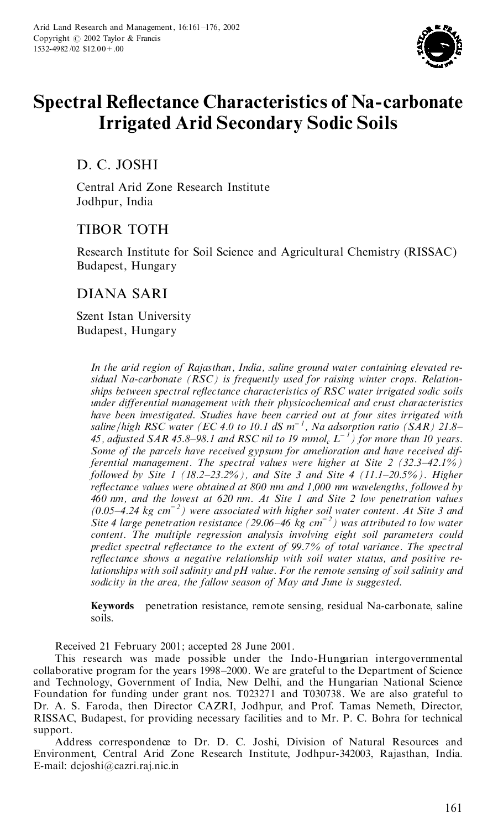

# **Spectral Re£ectance Characteristics of Na-carbonate Irrigated Arid Secondary Sodic Soils**

D. C. JOSHI

Central Arid Zone Research Institute Jodhpur, India

# TIBOR TOTH

Research Institute for Soil Science and Agricultural Chemistry (RISSAC) Budapest, Hungary

# DIANA SARI

Szent Istan University Budapest, Hungary

> *In the arid region of Rajasthan, India, saline ground water containing elevated re sidual Na-carbonate (RSC) is frequently used for raising winter crops. Relation ships between spectral reflectance characteristics of RSC water irrigated sodic soils under differential management with their physicochemical and crust characteristics have been investigated. Studies have been carried out at four sites irrigated with saline*=*high RSC water (EC 4.0 to 10.1 dS m* – *1 , Na adsorption ratio (SAR) 21.8± 45, adjusted SAR 45.8±98.1 and RSC nil to 19 mmol<sup>c</sup> L* – *<sup>1</sup>) for more than 10 years. Some of the parcels have received gypsum for amelioration and have received differential management. The spectral values were higher at Site 2 (32.3±42.1%) followed by Site 1 (18.2±23.2%), and Site 3 and Site 4 (11.1±20.5%). Higher re¯ectance values were obtained at 800 nm and 1,000 nm wavelengths, followed by 460 nm, and the lowest at 620 nm. At Site 1 and Site 2 low penetration values (0.05±4.24 kg cm* – *<sup>2</sup>) were associated with higher soil water content. At Site 3 and Site 4 large penetration resistance (29.06±46 kg cm* – *<sup>2</sup>) was attributed to low water content. The multiple regression analysis involving eight soil parameters could predict spectral reflectance to the extent of 99.7% of total variance. The spectral reflectance shows a negative relationship with soil water status, and positive relationships with soil salinity and pH value. For the remote sensing of soil salinity and sodicity in the area, the fallow season of May and June is suggested.*

**Keywords** penetration resistance, remote sensing, residual Na-carbonate, saline soils.

Received 21 February 2001; accepted 28 June 2001.

This research was made possible under the Indo-Hungarian intergovernmental collaborative program for the years 1998–2000. We are grateful to the Department of Science and Technology, Government of India, New Delhi, and the Hungarian National Science Foundation for funding under grant nos. T023271 and T030738. We are also grateful to Dr. A. S. Faroda, then Director CAZRI, Jodhpur, and Prof. Tamas Nemeth, Director, RISSAC, Budapest, for providing necessary facilities and to Mr. P. C. Bohra for technical support.

Address correspondence to Dr. D. C. Joshi, Division of Natural Resources and Environment, Central Arid Zone Research Institute, Jodhpur-342003, Rajasthan, India. E-mail: dcjoshi@cazri.raj.nic.in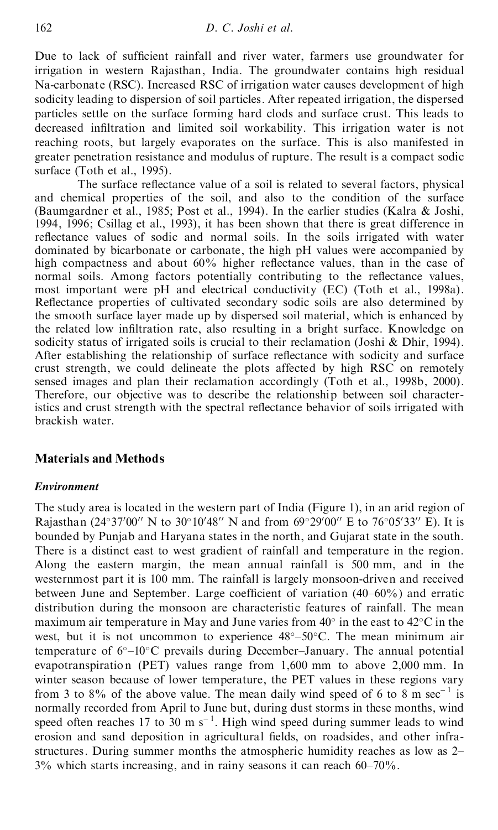Due to lack of sufficient rainfall and river water, farmers use groundwater for irrigation in western Rajasthan, India. The groundwater contains high residual Na-carbonate (RSC). Increased RSC of irrigation water causes development of high sodicity leading to dispersion of soil particles. After repeated irrigation, the dispersed particles settle on the surface forming hard clods and surface crust. This leads to decreased infiltration and limited soil workability. This irrigation water is not reaching roots, but largely evaporates on the surface. This is also manifested in greater penetration resistance and modulus of rupture. The result is a compact sodic surface (Toth et al., 1995).

The surface reflectance value of a soil is related to several factors, physical and chemical properties of the soil, and also to the condition of the surface (Baumgardner et al., 1985; Post et al., 1994). In the earlier studies (Kalra & Joshi, 1994, 1996; Csillag et al., 1993), it has been shown that there is great difference in reflectance values of sodic and normal soils. In the soils irrigated with water dominated by bicarbonate or carbonate, the high pH values were accompanied by high compactness and about  $60\%$  higher reflectance values, than in the case of normal soils. Among factors potentially contributing to the reflectance values, most important were pH and electrical conductivity (EC) (Toth et al., 1998a). Reflectance properties of cultivated secondary sodic soils are also determined by the smooth surface layer made up by dispersed soil material, which is enhanced by the related low infiltration rate, also resulting in a bright surface. Knowledge on sodicity status of irrigated soils is crucial to their reclamation (Joshi & Dhir, 1994). After establishing the relationship of surface reflectance with sodicity and surface crust strength, we could delineate the plots affected by high RSC on remotely sensed images and plan their reclamation accordingly (Toth et al., 1998b, 2000). Therefore, our objective was to describe the relationship between soil characteristics and crust strength with the spectral reflectance behavior of soils irrigated with brackish water.

# **Materials and Methods**

## *Environment*

The study area is located in the western part of India (Figure 1), in an arid region of Rajasthan (24°37′00″ N to 30°10′48″ N and from 69°29′00″ E to 76°05′33″ E). It is bounded by Punjab and Haryana states in the north, and Gujarat state in the south. There is a distinct east to west gradient of rainfall and temperature in the region. Along the eastern margin, the mean annual rainfall is 500 mm, and in the westernmost part it is 100 mm. The rainfall is largely monsoon-driven and received between June and September. Large coefficient of variation  $(40-60\%)$  and erratic distribution during the monsoon are characteristic features of rainfall. The mean maximum air temperature in May and June varies from  $40^{\circ}$  in the east to  $42^{\circ}$ C in the west, but it is not uncommon to experience  $48^{\circ}-50^{\circ}$ C. The mean minimum air temperature of  $6^{\circ}-10^{\circ}$ C prevails during December–January. The annual potential evapotranspiration (PET) values range from 1,600 mm to above 2,000 mm. In winter season because of lower temperature, the PET values in these regions vary from 3 to 8% of the above value. The mean daily wind speed of 6 to 8 m sec<sup>-1</sup> is normally recorded from April to June but, during dust storms in these months, wind speed often reaches 17 to 30 m s<sup> $-1$ </sup>. High wind speed during summer leads to wind erosion and sand deposition in agricultural fields, on roadsides, and other infrastructures. During summer months the atmospheric humidity reaches as low as 2- $3\%$  which starts increasing, and in rainy seasons it can reach  $60-70\%$ .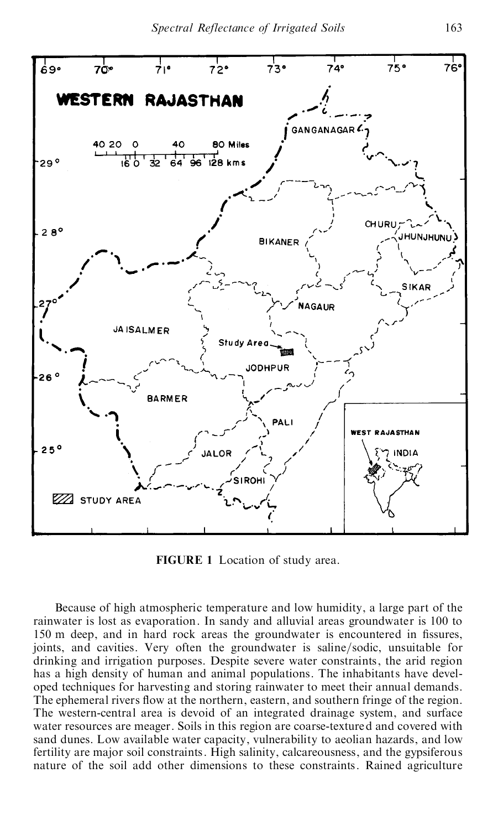

**FIGURE 1** Location of study area.

Because of high atmospheric temperature and low humidity, a large part of the rainwater is lost as evaporation. In sandy and alluvial areas groundwater is 100 to 150 m deep, and in hard rock areas the groundwater is encountered in fissures, joints, and cavities. Very often the groundwater is saline/sodic, unsuitable for drinking and irrigation purposes. Despite severe water constraints, the arid region has a high density of human and animal populations. The inhabitants have devel oped techniques for harvesting and storing rainwater to meet their annual demands. The ephemeral rivers flow at the northern, eastern, and southern fringe of the region. The western-central area is devoid of an integrated drainage system, and surface water resources are meager. Soils in this region are coarse-textured and covered with sand dunes. Low available water capacity, vulnerability to aeolian hazards, and low fertility are major soil constraints. High salinity, calcareousness, and the gypsiferous nature of the soil add other dimensions to these constraints. Rained agriculture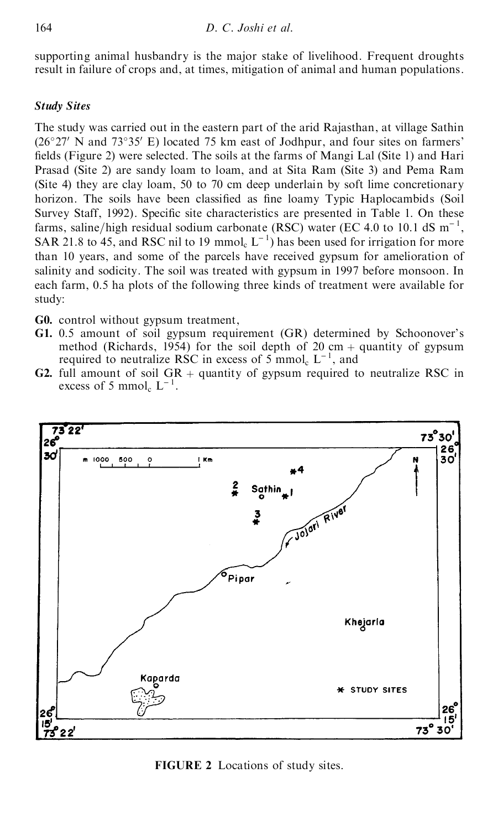supporting animal husbandry is the major stake of livelihood. Frequent droughts result in failure of crops and, at times, mitigation of animal and human populations.

# *Study Sites*

The study was carried out in the eastern part of the arid Rajasthan, at village Sathin  $(26°27'$  N and  $73°35'$  E) located 75 km east of Jodhpur, and four sites on farmers' fields (Figure 2) were selected. The soils at the farms of Mangi Lal (Site 1) and Hari Prasad (Site 2) are sandy loam to loam, and at Sita Ram (Site 3) and Pema Ram (Site 4) they are clay loam, 50 to 70 cm deep underlain by soft lime concretionary horizon. The soils have been classified as fine loamy Typic Haplocambids (Soil Survey Staff, 1992). Specific site characteristics are presented in Table 1. On these farms, saline/high residual sodium carbonate (RSC) water (EC 4.0 to 10.1 dS  $m^{-1}$ , SAR 21.8 to 45, and RSC nil to 19 mmol<sub>c</sub>  $L^{-1}$ ) has been used for irrigation for more than 10 years, and some of the parcels have received gypsum for amelioration of salinity and sodicity. The soil was treated with gypsum in 1997 before monsoon. In each farm, 0.5 ha plots of the following three kinds of treatment were available for study:

**G0.** control without gypsum treatment,

- **G1.** 0.5 amount of soil gypsum requirement (GR) determined by Schoonover's method (Richards, 1954) for the soil depth of 20 cm  $+$  quantity of gypsum required to neutralize RSC in excess of  $5 \text{ mmol}_c \text{ } L^{-1}$ , and
- **G2.** full amount of soil  $GR +$  quantity of gypsum required to neutralize RSC in excess of 5 mmol<sub>c</sub>  $L^{-1}$ .



**FIGURE 2** Locations of study sites.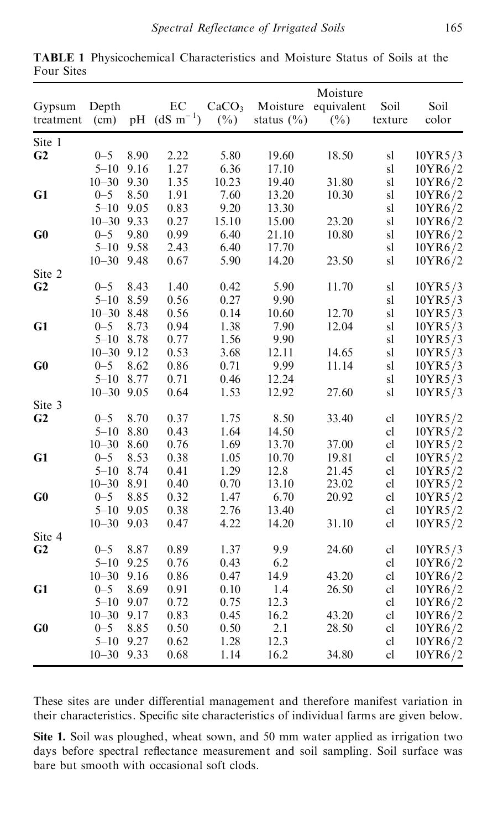| Gypsum<br>treatment | Depth<br>(cm)  |      | EC<br>pH $(dS m^{-1})$ | CaCO <sub>3</sub><br>$(\%)$ | Moisture<br>status $(\% )$ | Moisture<br>equivalent<br>$(\%)$ | Soil<br>texture                | Soil<br>color |
|---------------------|----------------|------|------------------------|-----------------------------|----------------------------|----------------------------------|--------------------------------|---------------|
| Site 1              |                |      |                        |                             |                            |                                  |                                |               |
| G <sub>2</sub>      | $0 - 5$        | 8.90 | 2.22                   | 5.80                        | 19.60                      | 18.50                            | sl                             | 10YR5/3       |
|                     | $5 - 10$       | 9.16 | 1.27                   | 6.36                        | 17.10                      |                                  | sl                             | 10YR6/2       |
|                     | $10 - 30$      | 9.30 | 1.35                   | 10.23                       | 19.40                      | 31.80                            | sl                             | 10YR6/2       |
| G1                  | $0 - 5$        | 8.50 | 1.91                   | 7.60                        | 13.20                      | 10.30                            | sl                             | 10YR6/2       |
|                     | $5 - 10$       | 9.05 | 0.83                   | 9.20                        | 13.30                      |                                  | sl                             | 10YR6/2       |
|                     | $10 - 30$ 9.33 |      | 0.27                   | 15.10                       | 15.00                      | 23.20                            | sl                             | 10YR6/2       |
| G0                  | $0 - 5$        | 9.80 | 0.99                   | 6.40                        | 21.10                      | 10.80                            | sl                             | 10YR6/2       |
|                     | $5 - 10$       | 9.58 | 2.43                   | 6.40                        | 17.70                      |                                  | sl                             | 10YR6/2       |
|                     | $10 - 30$      | 9.48 | 0.67                   | 5.90                        | 14.20                      | 23.50                            | sl                             | 10YR6/2       |
| Site 2              |                |      |                        |                             |                            |                                  |                                |               |
| G <sub>2</sub>      | $0 - 5$        | 8.43 | 1.40                   | 0.42                        | 5.90                       | 11.70                            | $\mathbf{sl}$                  | 10YR5/3       |
|                     | $5 - 10$       | 8.59 | 0.56                   | 0.27                        | 9.90                       |                                  | sl                             | 10YR5/3       |
|                     | $10 - 30$      | 8.48 | 0.56                   | 0.14                        | 10.60                      | 12.70                            | sl                             | 10YR5/3       |
| G1                  | $0 - 5$        | 8.73 | 0.94                   | 1.38                        | 7.90                       | 12.04                            | sl                             | 10YR5/3       |
|                     | $5 - 10$       | 8.78 | 0.77                   | 1.56                        | 9.90                       |                                  | sl                             | 10YR5/3       |
|                     | $10 - 30$      | 9.12 | 0.53                   | 3.68                        | 12.11                      | 14.65                            | sl                             | 10YR5/3       |
| G0                  | $0 - 5$        | 8.62 | 0.86                   | 0.71                        | 9.99                       | 11.14                            | sl                             | 10YR5/3       |
|                     | $5 - 10$       | 8.77 | 0.71                   | 0.46                        | 12.24                      |                                  | sl                             | 10YR5/3       |
|                     | $10 - 30$      | 9.05 | 0.64                   | 1.53                        | 12.92                      | 27.60                            | sl                             | 10YR5/3       |
| Site 3              |                |      |                        |                             |                            |                                  |                                |               |
| G <sub>2</sub>      | $0 - 5$        | 8.70 | 0.37                   | 1.75                        | 8.50                       | 33.40                            | $\ensuremath{\text{cl}}$       | 10YR5/2       |
|                     | $5 - 10$       | 8.80 | 0.43                   | 1.64                        | 14.50                      |                                  | cl                             | 10YR5/2       |
|                     | $10 - 30$      | 8.60 | 0.76                   | 1.69                        | 13.70                      | 37.00                            | $\ensuremath{\text{cl}}$       | 10YR5/2       |
| G1                  | $0 - 5$        | 8.53 | 0.38                   | 1.05                        | 10.70                      | 19.81                            | $\ensuremath{\text{cl}}$       | 10YR5/2       |
|                     | $5 - 10$       | 8.74 | 0.41                   | 1.29                        | 12.8                       | 21.45                            | $\ensuremath{\text{cl}}$       | 10YR5/2       |
|                     | $10 - 30$      | 8.91 | 0.40                   | 0.70                        | 13.10                      | 23.02                            | $\ensuremath{\text{cl}}$       | 10YR5/2       |
| G0                  | $0 - 5$        | 8.85 | 0.32                   | 1.47                        | 6.70                       | 20.92                            | $\ensuremath{\text{cl}}$       | 10YR5/2       |
|                     | $5 - 10$       | 9.05 | 0.38                   | 2.76                        | 13.40                      |                                  | $\ensuremath{\text{cl}}$       | 10YR5/2       |
|                     | $10 - 30$      | 9.03 | 0.47                   | 4.22                        | 14.20                      | 31.10                            | $\ensuremath{\text{cl}}$       | 10YR5/2       |
| Site 4              |                |      |                        |                             |                            |                                  |                                |               |
| G <sub>2</sub>      | $0 - 5$        | 8.87 | 0.89                   | 1.37                        | 9.9                        | 24.60                            | ${\rm cl}$                     | 10YR5/3       |
|                     | $5 - 10$       | 9.25 | 0.76                   | 0.43                        | 6.2                        |                                  | $\ensuremath{\text{cl}}$       | 10YR6/2       |
|                     | $10 - 30$      | 9.16 | 0.86                   | 0.47                        | 14.9                       | 43.20                            | $\ensuremath{\text{cl}}$       | 10YR6/2       |
| G1                  | $0 - 5$        | 8.69 | 0.91                   | 0.10                        | 1.4                        | 26.50                            | $\ensuremath{\text{cl}}$       | 10YR6/2       |
|                     | $5 - 10$       | 9.07 | 0.72                   | 0.75                        | 12.3                       |                                  | cl                             | 10YR6/2       |
|                     | $10 - 30$      | 9.17 | 0.83                   | 0.45                        | 16.2                       | 43.20                            | cl                             | 10YR6/2       |
| G0                  | $0 - 5$        | 8.85 | 0.50                   | 0.50                        | 2.1                        | 28.50                            | $\ensuremath{\text{cl}}$       | 10YR6/2       |
|                     | $5 - 10$       | 9.27 | 0.62                   |                             | 12.3                       |                                  |                                |               |
|                     | $10 - 30$      | 9.33 |                        | 1.28<br>1.14                | 16.2                       | 34.80                            | $\ensuremath{\text{cl}}$<br>cl | 10YR6/2       |
|                     |                |      | 0.68                   |                             |                            |                                  |                                | 10YR6/2       |

**TABLE 1** Physicochemical Characteristics and Moisture Status of Soils at the Four Sites

These sites are under differential management and therefore manifest variation in their characteristics. Specific site characteristics of individual farms are given below.

**Site 1.** Soil was ploughed, wheat sown, and 50 mm water applied as irrigation two days before spectral reflectance measurement and soil sampling. Soil surface was bare but smooth with occasional soft clods.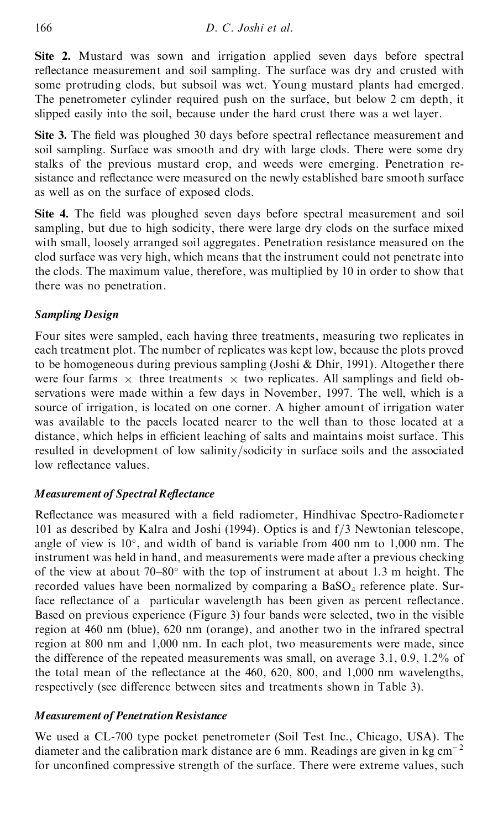**Site 2.** Mustard was sown and irrigation applied seven days before spectral reflectance measurement and soil sampling. The surface was dry and crusted with some protruding clods, but subsoil was wet. Young mustard plants had emerged. The penetrometer cylinder required push on the surface, but below 2 cm depth, it slipped easily into the soil, because under the hard crust there was a wet layer.

**Site 3.** The field was ploughed 30 days before spectral reflectance measurement and soil sampling. Surface was smooth and dry with large clods. There were some dry stalks of the previous mustard crop, and weeds were emerging. Penetration re sistance and reflectance were measured on the newly established bare smooth surface as well as on the surface of exposed clods.

**Site 4.** The field was ploughed seven days before spectral measurement and soil sampling, but due to high sodicity, there were large dry clods on the surface mixed with small, loosely arranged soil aggregates. Penetration resistance measured on the clod surface was very high, which means that the instrument could not penetrate into the clods. The maximum value, therefore, was multiplied by 10 in order to show that there was no penetration.

# *Sampling Design*

Four sites were sampled, each having three treatments, measuring two replicates in each treatment plot. The number of replicates was kept low, because the plots proved to be homogeneous during previous sampling (Joshi & Dhir, 1991). Altogether there were four farms  $\times$  three treatments  $\times$  two replicates. All samplings and field observations were made within a few days in November, 1997. The well, which is a source of irrigation, is located on one corner. A higher amount of irrigation water was available to the pacels located nearer to the well than to those located at a distance, which helps in efficient leaching of salts and maintains moist surface. This resulted in development of low salinity/sodicity in surface soils and the associated low reflectance values.

# *Measurement of Spectral Re ectance*

Reflectance was measured with a field radiometer, Hindhivac Spectro-Radiometer 101 as described by Kalra and Joshi (1994). Optics is and  $f/3$  Newtonian telescope, angle of view is  $10^{\circ}$ , and width of band is variable from 400 nm to 1,000 nm. The instrument was held in hand, and measurements were made after a previous checking of the view at about  $70-80^\circ$  with the top of instrument at about 1.3 m height. The recorded values have been normalized by comparing a  $BaSO<sub>4</sub>$  reference plate. Surface reflectance of a particular wavelength has been given as percent reflectance. Based on previous experience (Figure 3) four bands were selected, two in the visible region at 460 nm (blue), 620 nm (orange), and another two in the infrared spectral region at 800 nm and 1,000 nm. In each plot, two measurements were made, since the difference of the repeated measurements was small, on average 3.1, 0.9, 1.2% of the total mean of the reflectance at the  $460, 620, 800,$  and  $1,000$  nm wavelengths, respectively (see difference between sites and treatments shown in Table 3).

# *Measurement of PenetrationResistance*

We used a CL-700 type pocket penetrometer (Soil Test Inc., Chicago, USA). The diameter and the calibration mark distance are 6 mm. Readings are given in kg  $cm^{-2}$ for unconfined compressive strength of the surface. There were extreme values, such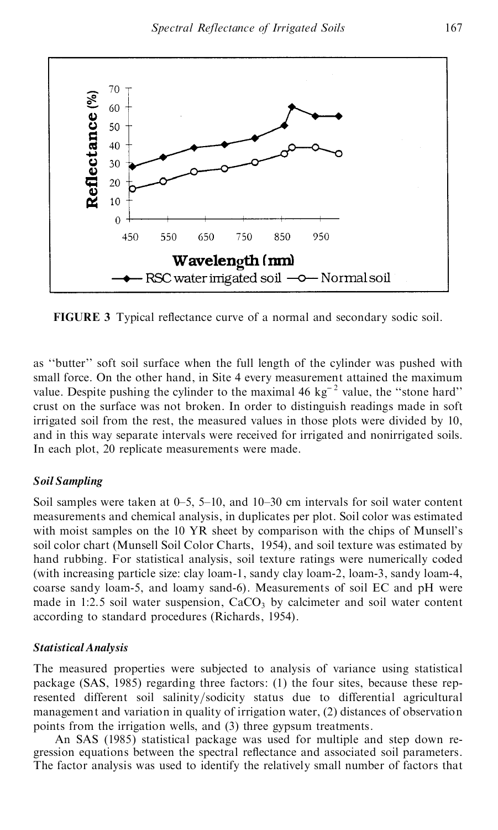

**FIGURE 3** Typical reflectance curve of a normal and secondary sodic soil.

as "butter" soft soil surface when the full length of the cylinder was pushed with small force. On the other hand, in Site 4 every measurement attained the maximum value. Despite pushing the cylinder to the maximal 46  $kg^{-2}$  value, the "stone hard" crust on the surface was not broken. In order to distinguish readings made in soft irrigated soil from the rest, the measured values in those plots were divided by 10, and in this way separate intervals were received for irrigated and nonirrigated soils. In each plot, 20 replicate measurements were made.

#### *Soil Sampling*

Soil samples were taken at  $0-5$ ,  $5-10$ , and  $10-30$  cm intervals for soil water content measurements and chemical analysis, in duplicates per plot. Soil color was estimated with moist samples on the 10 YR sheet by comparison with the chips of Munsell's soil color chart (Munsell Soil Color Charts, 1954), and soil texture was estimated by hand rubbing. For statistical analysis, soil texture ratings were numerically coded (with increasing particle size: clay loam-1, sandy clay loam-2, loam-3, sandy loam-4, coarse sandy loam-5, and loamy sand-6). Measurements of soil EC and pH were made in 1:2.5 soil water suspension,  $CaCO<sub>3</sub>$  by calcimeter and soil water content according to standard procedures (Richards, 1954).

#### *Statistical Analysis*

The measured properties were subjected to analysis of variance using statistical package (SAS, 1985) regarding three factors: (1) the four sites, because these rep resented different soil salinity/sodicity status due to differential agricultural management and variation in quality of irrigation water, (2) distances of observation points from the irrigation wells, and (3) three gypsum treatments.

An SAS (1985) statistical package was used for multiple and step down re gression equations between the spectral reflectance and associated soil parameters. The factor analysis was used to identify the relatively small number of factors that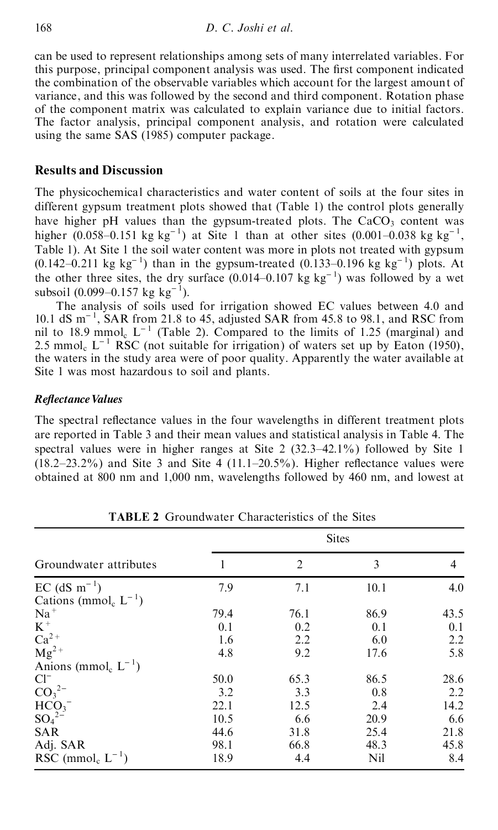can be used to represent relationships among sets of many interrelated variables. For this purpose, principal component analysis was used. The first component indicated the combination of the observable variables which account for the largest amount of variance, and this was followed by the second and third component. Rotation phase of the component matrix was calculated to explain variance due to initial factors. The factor analysis, principal component analysis, and rotation were calculated using the same SAS (1985) computer package.

# **Results and Discussion**

The physicochemical characteristics and water content of soils at the four sites in different gypsum treatment plots showed that (Table 1) the control plots generally have higher pH values than the gypsum-treated plots. The  $CaCO<sub>3</sub>$  content was higher (0.058–0.151 kg kg<sup>-1</sup>) at Site 1 than at other sites (0.001–0.038 kg kg<sup>-1</sup>, Table 1). At Site 1 the soil water content was more in plots not treated with gypsum  $(0.142-0.211 \text{ kg kg}^{-1})$  than in the gypsum-treated  $(0.133-0.196 \text{ kg kg}^{-1})$  plots. At the other three sites, the dry surface  $(0.014-0.107 \text{ kg kg}^{-1})$  was followed by a wet subsoil  $(0.099-0.157 \text{ kg kg}^{-1})$ .

The analysis of soils used for irrigation showed EC values between 4.0 and 10.1 dS  $m^{-1}$ , SAR from 21.8 to 45, adjusted SAR from 45.8 to 98.1, and RSC from nil to 18.9 mmol<sub>c</sub>  $L^{-1}$  (Table 2). Compared to the limits of 1.25 (marginal) and 2.5 mmol<sub>c</sub>  $L^{-1}$  RSC (not suitable for irrigation) of waters set up by Eaton (1950), the waters in the study area were of poor quality. Apparently the water available at Site 1 was most hazardous to soil and plants.

# $$

The spectral reflectance values in the four wavelengths in different treatment plots are reported in Table 3 and their mean values and statistical analysis in Table 4. The spectral values were in higher ranges at Site  $2(32.3-42.1\%)$  followed by Site 1  $(18.2-23.2%)$  and Site 3 and Site 4  $(11.1-20.5%)$ . Higher reflectance values were obtained at 800 nm and 1,000 nm, wavelengths followed by 460 nm, and lowest at

|                                          |      |                | <b>Sites</b> |      |
|------------------------------------------|------|----------------|--------------|------|
| Groundwater attributes                   |      | $\overline{2}$ | 3            | 4    |
| $EC$ (dS m <sup>-1</sup> )               | 7.9  | 7.1            | 10.1         | 4.0  |
| Cations (mmol <sub>c</sub> $L^{-1}$ )    |      |                |              |      |
| $Na+$                                    | 79.4 | 76.1           | 86.9         | 43.5 |
| $K^+$                                    | 0.1  | 0.2            | 0.1          | 0.1  |
|                                          | 1.6  | 2.2            | 6.0          | 2.2  |
| $Ca2+$<br>Mg <sup>2+</sup>               | 4.8  | 9.2            | 17.6         | 5.8  |
| Anions (mmol <sub>c</sub> $L^{-1}$ )     |      |                |              |      |
| $Cl^{-}$                                 | 50.0 | 65.3           | 86.5         | 28.6 |
| CO <sub>3</sub> <sup>2</sup>             | 3.2  | 3.3            | 0.8          | 2.2  |
|                                          | 22.1 | 12.5           | 2.4          | 14.2 |
| $HCO3-$<br>SO <sub>4</sub> <sup>2-</sup> | 10.5 | 6.6            | 20.9         | 6.6  |
| <b>SAR</b>                               | 44.6 | 31.8           | 25.4         | 21.8 |
| Adj. SAR                                 | 98.1 | 66.8           | 48.3         | 45.8 |
| RSC (mmol <sub>c</sub> $L^{-1}$ )        | 18.9 | 4.4            | Nil          | 8.4  |

**TABLE 2** Groundwater Characteristics of the Sites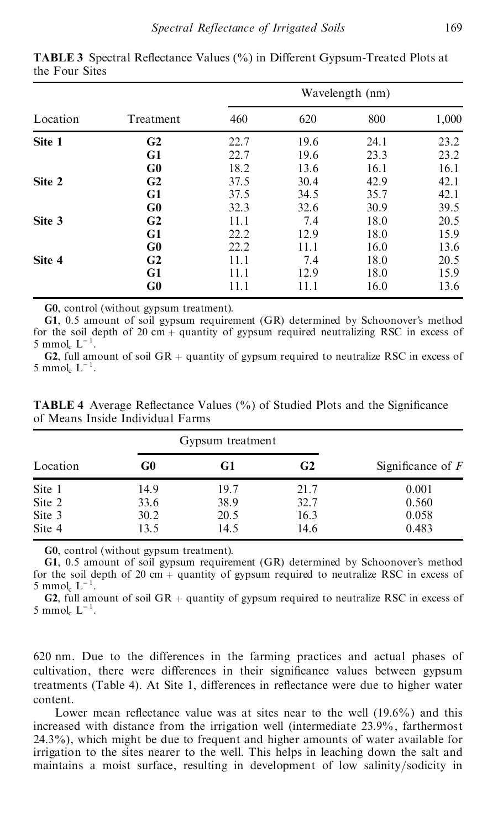|                                                                            |                                                                                                                                                                                                                                                                                                                           |                  |              | Wavelength (nm) |                              |
|----------------------------------------------------------------------------|---------------------------------------------------------------------------------------------------------------------------------------------------------------------------------------------------------------------------------------------------------------------------------------------------------------------------|------------------|--------------|-----------------|------------------------------|
| Location                                                                   | Treatment                                                                                                                                                                                                                                                                                                                 | 460              | 620          | 800             | 1,000                        |
| Site 1                                                                     | G <sub>2</sub>                                                                                                                                                                                                                                                                                                            | 22.7             | 19.6         | 24.1            | 23.2                         |
|                                                                            | G1                                                                                                                                                                                                                                                                                                                        | 22.7             | 19.6         | 23.3            | 23.2                         |
|                                                                            | G0                                                                                                                                                                                                                                                                                                                        | 18.2             | 13.6         | 16.1            | 16.1                         |
| Site 2                                                                     | G <sub>2</sub>                                                                                                                                                                                                                                                                                                            | 37.5             | 30.4         | 42.9            | 42.1                         |
|                                                                            | G1                                                                                                                                                                                                                                                                                                                        | 37.5             | 34.5         | 35.7            | 42.1                         |
|                                                                            | G0                                                                                                                                                                                                                                                                                                                        | 32.3             | 32.6         | 30.9            | 39.5                         |
| Site 3                                                                     | G <sub>2</sub>                                                                                                                                                                                                                                                                                                            | 11.1             | 7.4          | 18.0            | 20.5                         |
|                                                                            | G1                                                                                                                                                                                                                                                                                                                        | 22.2             | 12.9         | 18.0            | 15.9                         |
|                                                                            |                                                                                                                                                                                                                                                                                                                           |                  |              |                 |                              |
|                                                                            | G0                                                                                                                                                                                                                                                                                                                        | 22.2             | 11.1         | 16.0            | 13.6                         |
|                                                                            | G <sub>2</sub>                                                                                                                                                                                                                                                                                                            | 11.1             | 7.4          | 18.0            | 20.5                         |
|                                                                            | G1                                                                                                                                                                                                                                                                                                                        | 11.1             | 12.9         | 18.0            |                              |
|                                                                            | G0<br>G0, control (without gypsum treatment).<br>G1, 0.5 amount of soil gypsum requirement (GR) determined by Schoonover's method<br>for the soil depth of 20 cm + quantity of gypsum required neutralizing RSC in excess of<br>G2, full amount of soil $GR +$ quantity of gypsum required to neutralize RSC in excess of | 11.1             | 11.1         | 16.0            | 15.9<br>13.6                 |
| Site 4<br>5 mmol <sub>c</sub> $L^{-1}$ .<br>5 mmol <sub>c</sub> $L^{-1}$ . | TABLE 4 Average Reflectance Values (%) of Studied Plots and the Significance<br>of Means Inside Individual Farms                                                                                                                                                                                                          | Gypsum treatment |              |                 |                              |
|                                                                            | G0                                                                                                                                                                                                                                                                                                                        | G1               | G2           |                 |                              |
|                                                                            | 14.9                                                                                                                                                                                                                                                                                                                      | 19.7             | 21.7         |                 | 0.001                        |
|                                                                            |                                                                                                                                                                                                                                                                                                                           | 38.9             |              |                 | Significance of $F$<br>0.560 |
| Location<br>Site 1<br>Site 2<br>Site 3                                     | 33.6<br>30.2                                                                                                                                                                                                                                                                                                              | 20.5             | 32.7<br>16.3 |                 | 0.058                        |

**TABLE 3** Spectral Reflectance Values (%) in Different Gypsum-Treated Plots at the Four Sites

|          |      | Gypsum treatment |      |                     |
|----------|------|------------------|------|---------------------|
| Location | G0   | G1               | G2   | Significance of $F$ |
| Site 1   | 14.9 | 19.7             | 21.7 | 0.001               |
| Site 2   | 33.6 | 38.9             | 32.7 | 0.560               |
| Site 3   | 30.2 | 20.5             | 16.3 | 0.058               |
| Site 4   | 13.5 | 14.5             | 14.6 | 0.483               |

**TABLE 4** Average Reflectance Values (%) of Studied Plots and the Significance of Means Inside Individual Farms

620 nm. Due to the differences in the farming practices and actual phases of cultivation, there were differences in their significance values between gypsum treatments (Table 4). At Site 1, differences in reflectance were due to higher water content.

Lower mean reflectance value was at sites near to the well  $(19.6\%)$  and this increased with distance from the irrigation well (intermediate 23.9%, farthermost 24.3%), which might be due to frequent and higher amounts of water available for irrigation to the sites nearer to the well. This helps in leaching down the salt and maintains a moist surface, resulting in development of low salinity/sodicity in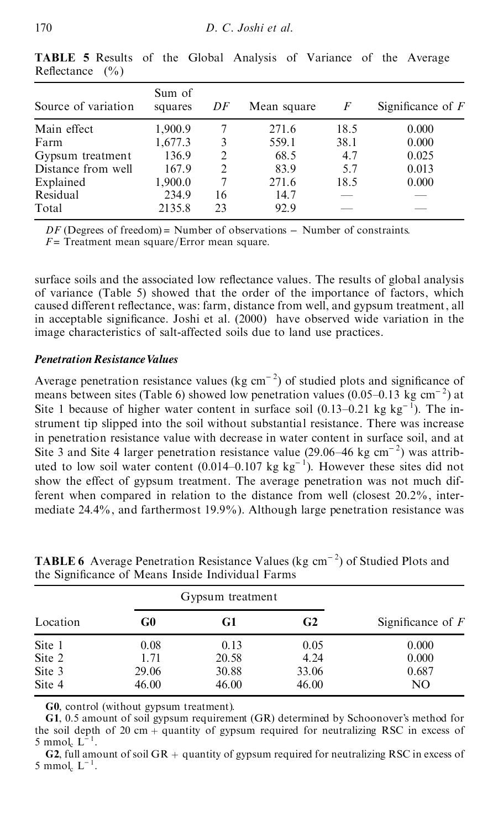| Source of variation | Sum of<br>squares | DF                            | Mean square | F    | Significance of $F$ |
|---------------------|-------------------|-------------------------------|-------------|------|---------------------|
| Main effect         | 1,900.9           |                               | 271.6       | 18.5 | 0.000               |
| Farm                | 1,677.3           | 3                             | 559.1       | 38.1 | 0.000               |
| Gypsum treatment    | 136.9             | $\mathfrak{D}$                | 68.5        | 4.7  | 0.025               |
| Distance from well  | 167.9             | $\mathfrak{D}_{\mathfrak{p}}$ | 83.9        | 5.7  | 0.013               |
| Explained           | 1,900.0           |                               | 271.6       | 18.5 | 0.000               |
| Residual            | 234.9             | 16                            | 14.7        |      |                     |
| Total               | 2135.8            | 23                            | 92.9        |      |                     |

**TABLE 5** Results of the Global Analysis of Variance of the Average Reflectance  $(\% )$ 

*DF* (Degrees of freedom) = Number of observations – Number of constraints.

 $F =$ Treatment mean square/Error mean square.

surface soils and the associated low reflectance values. The results of global analysis of variance (Table 5) showed that the order of the importance of factors, which caused different reflectance, was: farm, distance from well, and gypsum treatment, all in acceptable significance. Joshi et al.  $(2000)$  have observed wide variation in the image characteristics of salt-affected soils due to land use practices.

#### *Penetration Resistance Values*

Average penetration resistance values (kg  $cm^{-2}$ ) of studied plots and significance of means between sites (Table 6) showed low penetration values (0.05–0.13 kg cm<sup>-2</sup>) at Site 1 because of higher water content in surface soil  $(0.13-0.21 \text{ kg kg}^{-1})$ . The instrument tip slipped into the soil without substantial resistance. There was increase in penetration resistance value with decrease in water content in surface soil, and at Site 3 and Site 4 larger penetration resistance value (29.06 $-46$  kg cm<sup>-2</sup>) was attributed to low soil water content  $(0.014-0.107 \text{ kg kg}^{-1})$ . However these sites did not show the effect of gypsum treatment. The average penetration was not much different when compared in relation to the distance from well (closest 20.2%, inter mediate 24.4%, and farthermost 19.9%). Although large penetration resistance was *D.* **C.** *Joshi et* **al.**<br> **RABLE 5** Results of the Global Analysis o<br>
Reflectance (%)<br>
Source of variation squares *DF* Mean sq<br>
Source of variation squares *DF* Mean sq<br>
Main effect 1,900.9 7 271.0<br>
Distance from well

|          |       | Gypsum treatment |       |                     |  |
|----------|-------|------------------|-------|---------------------|--|
| Location | G0    | G1               | G2    | Significance of $F$ |  |
| Site 1   | 0.08  | 0.13             | 0.05  | 0.000               |  |
| Site 2   | 1.71  | 20.58            | 4.24  | 0.000               |  |
| Site 3   | 29.06 | 30.88            | 33.06 | 0.687               |  |
| Site 4   | 46.00 | 46.00            | 46.00 | NO                  |  |

**TABLE 6** Average Penetration Resistance Values (kg cm<sup>-2</sup>) of Studied Plots and the Significance of Means Inside Individual Farms

**G0**, control (without gypsum treatment).

**G1**, 0.5 amount of soil gypsum requirement (GR) determined by Schoonover's method for the soil depth of 20 cm  $+$  quantity of gypsum required for neutralizing RSC in excess of 5 mmol<sub>c</sub>  $L^{-1}$ .

**G2**, full amount of soil GR + quantity of gypsum required for neutralizing RSC in excess of 5 mmol<sub>c</sub>  $L^{-1}$ .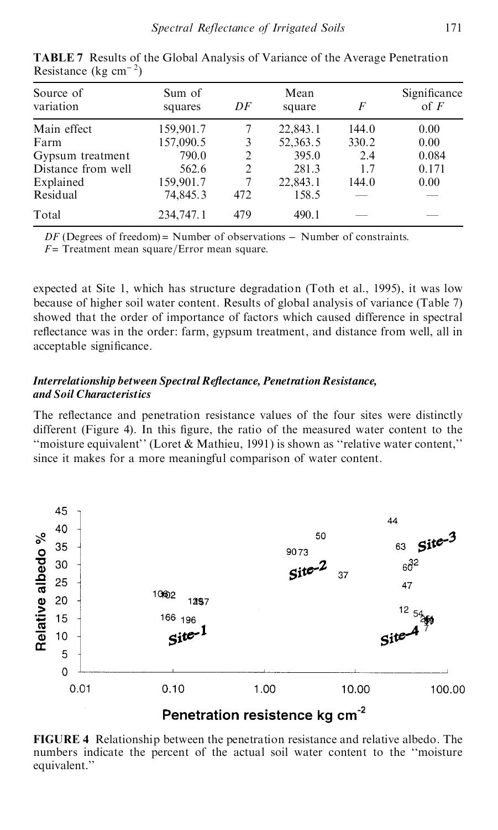| Source of<br>variation | Sum of<br>squares | DF  | Mean<br>square | F     | Significance<br>of $F$ |
|------------------------|-------------------|-----|----------------|-------|------------------------|
| Main effect            | 159,901.7         |     | 22,843.1       | 144.0 | 0.00                   |
| Farm                   | 157,090.5         | 3   | 52,363.5       | 330.2 | 0.00                   |
| Gypsum treatment       | 790.0             | 2   | 395.0          | 2.4   | 0.084                  |
| Distance from well     | 562.6             | 2   | 281.3          | 1.7   | 0.171                  |
| Explained              | 159,901.7         |     | 22,843.1       | 144.0 | 0.00                   |
| Residual               | 74,845.3          | 472 | 158.5          |       |                        |
| Total                  | 234,747.1         | 479 | 490.1          |       |                        |

**TABLE 7** Results of the Global Analysis of Variance of the Average Penetration Resistance (kg  $cm^{-2}$ )

*DF* (Degrees of freedom) = Number of observations – Number of constraints.

 $F =$ Treatment mean square/Error mean square.

expected at Site 1, which has structure degradation (Toth et al., 1995), it was low because of higher soil water content. Results of global analysis of variance (Table 7) showed that the order of importance of factors which caused difference in spectral reflectance was in the order: farm, gypsum treatment, and distance from well, all in acceptable significance.

# *Interrelationship between Spectral Re ectance, PenetrationResistance, and Soil Characteristics*

The reflectance and penetration resistance values of the four sites were distinctly different (Figure 4). In this figure, the ratio of the measured water content to the "moisture equivalent" (Loret  $\&$  Mathieu, 1991) is shown as "relative water content," since it makes for a more meaningful comparison of water content.



**FIGURE 4** Relationship between the penetration resistance and relative albedo. The numbers indicate the percent of the actual soil water content to the "moisture" equivalent.''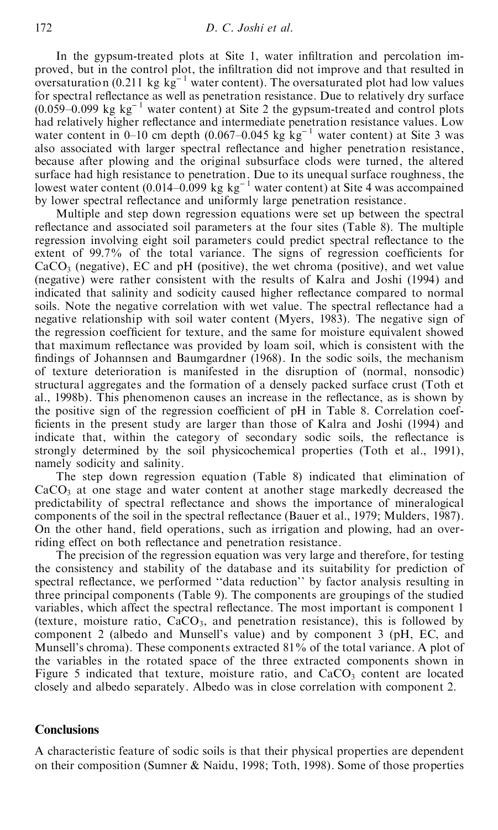In the gypsum-treated plots at Site 1, water infiltration and percolation improved, but in the control plot, the infiltration did not improve and that resulted in oversaturation (0.211 kg  $kg^{-1}$  water content). The oversaturated plot had low values for spectral reflectance as well as penetration resistance. Due to relatively dry surface  $(0.059-0.099 \text{ kg kg}^{-1}$  water content) at Site 2 the gypsum-treated and control plots had relatively higher reflectance and intermediate penetration resistance values. Low water content in 0-10 cm depth (0.067-0.045 kg kg<sup>-1</sup> water content) at Site 3 was also associated with larger spectral reflectance and higher penetration resistance, because after plowing and the original subsurface clods were turned, the altered surface had high resistance to penetration. Due to its unequal surface roughness, the lowest water content  $(0.014-0.099 \text{ kg kg}^{-1}$  water content) at Site 4 was accompained by lower spectral reflectance and uniformly large penetration resistance.

Multiple and step down regression equations were set up between the spectral reflectance and associated soil parameters at the four sites (Table 8). The multiple regression involving eight soil parameters could predict spectral reflectance to the extent of  $99.7\%$  of the total variance. The signs of regression coefficients for  $CaCO<sub>3</sub>$  (negative), EC and pH (positive), the wet chroma (positive), and wet value (negative) were rather consistent with the results of Kalra and Joshi (1994) and indicated that salinity and sodicity caused higher reflectance compared to normal soils. Note the negative correlation with wet value. The spectral reflectance had a negative relationship with soil water content (Myers, 1983). The negative sign of the regression coefficient for texture, and the same for moisture equivalent showed that maximum reflectance was provided by loam soil, which is consistent with the findings of Johannsen and Baumgardner (1968). In the sodic soils, the mechanism of texture deterioration is manifested in the disruption of (normal, nonsodic) structural aggregates and the formation of a densely packed surface crust (Toth et al., 1998b). This phenomenon causes an increase in the reflectance, as is shown by the positive sign of the regression coefficient of  $pH$  in Table 8. Correlation coefficients in the present study are larger than those of Kalra and Joshi (1994) and indicate that, within the category of secondary sodic soils, the reflectance is strongly determined by the soil physicochemical properties (Toth et al., 1991), namely sodicity and salinity.

The step down regression equation (Table 8) indicated that elimination of  $CaCO<sub>3</sub>$  at one stage and water content at another stage markedly decreased the predictability of spectral reflectance and shows the importance of mineralogical components of the soil in the spectral reflectance (Bauer et al., 1979; Mulders, 1987). On the other hand, field operations, such as irrigation and plowing, had an overriding effect on both reflectance and penetration resistance.

The precision of the regression equation was very large and therefore, for testing the consistency and stability of the database and its suitability for prediction of spectral reflectance, we performed "data reduction" by factor analysis resulting in three principal components (Table 9). The components are groupings of the studied variables, which affect the spectral reflectance. The most important is component 1 (texture, moisture ratio,  $CaCO<sub>3</sub>$ , and penetration resistance), this is followed by component 2 (albedo and Munsell's value) and by component 3 (pH, EC, and Munsell's chroma). These components extracted 81% of the total variance. A plot of the variables in the rotated space of the three extracted components shown in Figure 5 indicated that texture, moisture ratio, and  $CaCO<sub>3</sub>$  content are located closely and albedo separately. Albedo was in close correlation with component 2.

## **Conclusions**

A characteristic feature of sodic soils is that their physical properties are dependent on their composition (Sumner & Naidu, 1998; Toth, 1998). Some of those properties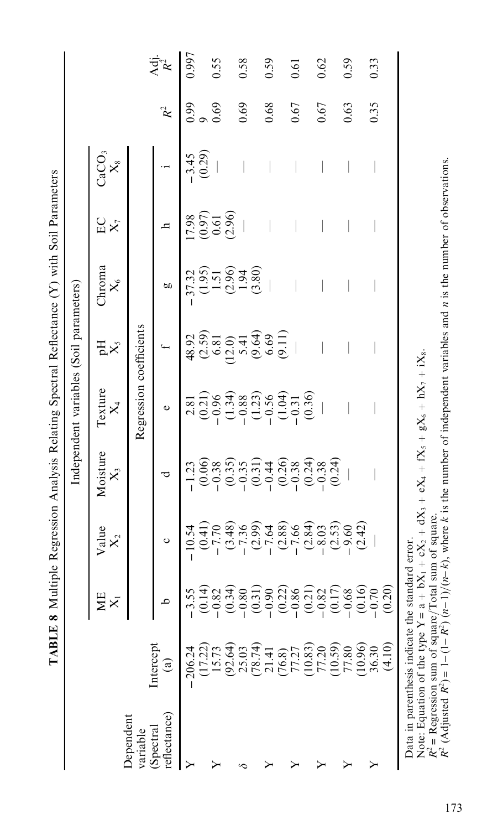|                           |                                                  |         |                         | TABLE 8 Multiple Regression Analysis Relating Spectral Reflectance (Y) with Soil Parameters  | Independent variables (Soil parameters)                                                                                         |                                               |                                 |                                                         |                   |                |                  |
|---------------------------|--------------------------------------------------|---------|-------------------------|----------------------------------------------------------------------------------------------|---------------------------------------------------------------------------------------------------------------------------------|-----------------------------------------------|---------------------------------|---------------------------------------------------------|-------------------|----------------|------------------|
|                           |                                                  | ЖE      | Value<br>$\mathsf{X}_2$ | Moisture<br>$\mathsf{X}$                                                                     | Texture<br>$\mathsf{X}_4$                                                                                                       | $\mathbb{E}^{\mathbf{H}}$                     | Chroma<br>$\times$              | EC<br>$X_7$                                             | CaCO3<br>$X_8$    |                |                  |
| Dependent<br>variable     |                                                  |         |                         |                                                                                              | Regression coefficients                                                                                                         |                                               |                                 |                                                         |                   |                |                  |
| reflectance)<br>(Spectral | Intercept<br>$\widehat{\mathbf{e}}$              | ≏       | ပ                       | ರ                                                                                            | $\circ$                                                                                                                         |                                               | g                               | d                                                       |                   | $\mathbb{R}^2$ | $\mathbf{A}$ dj. |
| ≻                         | $-206.24$                                        | $-3.55$ | $-10.54$                | $-1.23$                                                                                      | 2.81                                                                                                                            | 48.92                                         | $-37.32$                        | 17.98                                                   |                   | 0.99           | 0.997            |
|                           | (17.22)                                          | (0.14)  | (0.41)                  | (0.06)                                                                                       | $(0.21)$<br>$-0.96$                                                                                                             | $\begin{array}{c} (2.59) \\ 6.81 \end{array}$ |                                 |                                                         | $-3.45$<br>(0.29) |                |                  |
|                           | 15.73                                            | $-0.82$ | $-7.70$                 | $-0.38$                                                                                      |                                                                                                                                 |                                               | $5.5930$<br>$-0.530$<br>$-0.58$ | $\begin{array}{c} (0.97) \\ 0.61 \\ (2.96) \end{array}$ |                   | 0.69           | 0.55             |
|                           | (92.64)                                          | (0.34)  | (3.48)                  | (0.35)                                                                                       | $\begin{array}{c} (1.34) \\[-4pt] -0.88 \\[-4pt] -0.56 \\[-4pt] -0.56 \\[-4pt] -0.31 \\[-4pt] -0.30 \\[-4pt] -0.36 \end{array}$ | (12.0)                                        |                                 |                                                         |                   |                |                  |
| œ                         | 25.03                                            | $-0.80$ | $-7.36$                 | $-0.35$                                                                                      |                                                                                                                                 | 5.41                                          |                                 |                                                         |                   | 0.69           | 0.58             |
|                           | (78.74)                                          | (0.31)  | $(2.99)$<br>-7.64       | (0.31)                                                                                       |                                                                                                                                 | $(9.64)$<br>$6.69$                            |                                 |                                                         |                   |                |                  |
|                           | 21.41                                            | $-0.90$ |                         |                                                                                              |                                                                                                                                 |                                               |                                 |                                                         |                   | 0.68           | 0.59             |
|                           | (76.8)                                           | (0.22)  | (2.88)                  | $(0.26)$<br>$-0.38$                                                                          |                                                                                                                                 | (9.11)                                        |                                 |                                                         |                   |                |                  |
|                           | 77.27                                            | $-0.86$ | $-7.66$                 |                                                                                              |                                                                                                                                 |                                               |                                 |                                                         |                   | 0.67           | 0.61             |
|                           | (10.83)                                          | (0.21)  | (2.84)                  | (0.24)                                                                                       |                                                                                                                                 |                                               |                                 |                                                         |                   |                |                  |
|                           | 77.20                                            | $-0.82$ |                         | $-0.38$                                                                                      |                                                                                                                                 |                                               |                                 |                                                         |                   | 0.67           | 0.62             |
|                           | (10.59)                                          | (0.17)  | $\frac{-8.03}{(2.53)}$  | (0.24)                                                                                       |                                                                                                                                 |                                               |                                 |                                                         |                   |                |                  |
|                           | 77.80                                            | $-0.68$ |                         |                                                                                              |                                                                                                                                 |                                               |                                 |                                                         |                   | 0.63           | 0.59             |
|                           | (10.96)                                          | (0.16)  | (2.42)                  |                                                                                              |                                                                                                                                 |                                               |                                 |                                                         |                   |                |                  |
| ≻                         | 36.30                                            | $-0.70$ |                         |                                                                                              |                                                                                                                                 |                                               |                                 |                                                         |                   | 0.35           | 0.33             |
|                           | (4.10)                                           | (0.20)  |                         |                                                                                              |                                                                                                                                 |                                               |                                 |                                                         |                   |                |                  |
|                           | Data in parenthesis indicate the standard error. |         |                         | Note: Equation of the type $Y = a + bX_1 + cX_2 + dX_3 + eX_4 + fX_5 + gX_6 + hX_7 + iX_8$ . |                                                                                                                                 |                                               |                                 |                                                         |                   |                |                  |

Note: Equation of the type  $Y = a + bX_1 + cX_2 + dX_3 + eX_4 + fX_5 + gX_6 + hX_7 + iX_8$ .<br>  $R^2 = \text{Regression sum of square/Total sum of square}$ <br>  $R^2$  (Adjusted  $R^2$ ) = 1–(1– $R^2$ ) (*n*–1)/(*n*–*k*), where *k* is the number of independent variables and *n* is the numbe Data in parenthesis indicate the standard error.<br>Note: Equation of the type  $Y = a + bX_1 + cX_2 + dX_3 + eX_4 + fX_5 + gX_6 + hX_7 + iX_8$ .<br> $R^2 = \text{Regression sum of square/Total sum of square.}$ <br> $R^2 = \text{Regression sum of square/Total sum of square.}$  where k is the number of independent variables and *n* i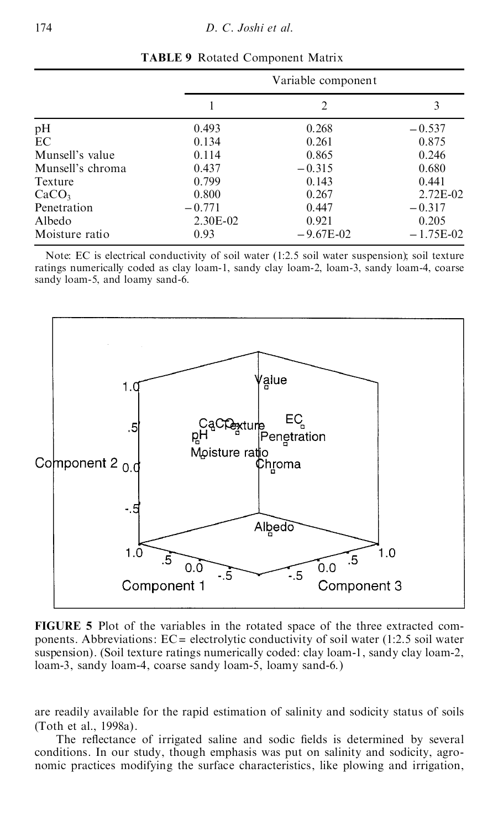|                   |          | Variable component |             |
|-------------------|----------|--------------------|-------------|
|                   |          | 2                  | 3           |
| pH                | 0.493    | 0.268              | $-0.537$    |
| EC                | 0.134    | 0.261              | 0.875       |
| Munsell's value   | 0.114    | 0.865              | 0.246       |
| Munsell's chroma  | 0.437    | $-0.315$           | 0.680       |
| Texture           | 0.799    | 0.143              | 0.441       |
| CaCO <sub>3</sub> | 0.800    | 0.267              | 2.72E-02    |
| Penetration       | $-0.771$ | 0.447              | $-0.317$    |
| Albedo            | 2.30E-02 | 0.921              | 0.205       |
| Moisture ratio    | 0.93     | $-9.67E-02$        | $-1.75E-02$ |

**TABLE 9** Rotated Component Matrix

Note: EC is electrical conductivity of soil water (1:2.5 soil water suspension); soil texture ratings numerically coded as clay loam-1, sandy clay loam-2, loam-3, sandy loam-4, coarse sandy loam-5, and loamy sand-6.



**FIGURE 5** Plot of the variables in the rotated space of the three extracted com ponents. Abbreviations:  $EC =$  electrolytic conductivity of soil water (1:2.5 soil water suspension). (Soil texture ratings numerically coded: clay loam-1, sandy clay loam-2, loam-3, sandy loam-4, coarse sandy loam-5, loamy sand-6.)

are readily available for the rapid estimation of salinity and sodicity status of soils (Toth et al., 1998a).

The reflectance of irrigated saline and sodic fields is determined by several conditions. In our study, though emphasis was put on salinity and sodicity, agro nomic practices modifying the surface characteristics, like plowing and irrigation,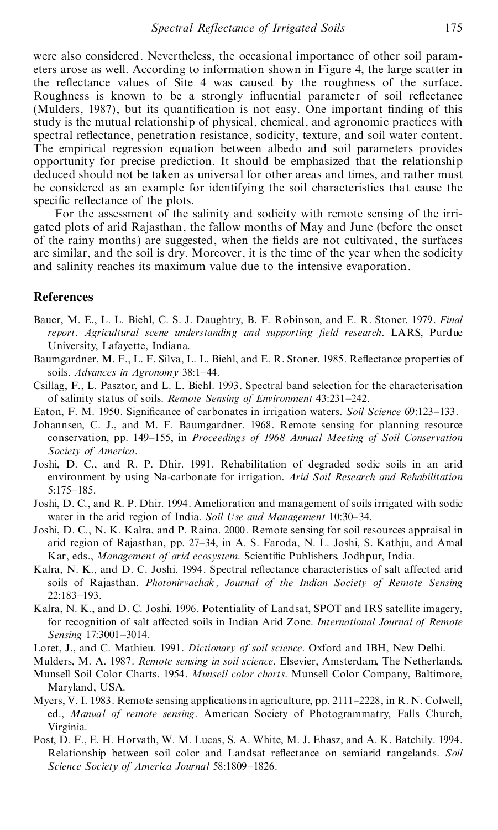were also considered. Nevertheless, the occasional importance of other soil param eters arose as well. According to information shown in Figure 4, the large scatter in the reflectance values of Site 4 was caused by the roughness of the surface. Roughness is known to be a strongly influential parameter of soil reflectance (Mulders, 1987), but its quantification is not easy. One important finding of this study is the mutual relationship of physical, chemical, and agronomic practices with spectral reflectance, penetration resistance, sodicity, texture, and soil water content. The empirical regression equation between albedo and soil parameters provides opportunity for precise prediction. It should be emphasized that the relationship deduced should not be taken as universal for other areas and times, and rather must be considered as an example for identifying the soil characteristics that cause the specific reflectance of the plots.

For the assessment of the salinity and sodicity with remote sensing of the irri gated plots of arid Rajasthan, the fallow months of May and June (before the onset of the rainy months) are suggested, when the fields are not cultivated, the surfaces are similar, and the soil is dry. Moreover, it is the time of the year when the sodicity and salinity reaches its maximum value due to the intensive evaporation.

## **References**

- Bauer, M. E., L. L. Biehl, C. S. J. Daughtry, B. F. Robinson, and E. R. Stoner. 1979. *Final report. Agricultural scene understanding and supporting ®eld research*. LARS, Purdue University, Lafayette, Indiana.
- Baumgardner, M. F., L. F. Silva, L. L. Biehl, and E. R. Stoner. 1985. Reflectance properties of soils. *Advances* in *Agronomy* 38:1-44.
- Csillag, F., L. Pasztor, and L. L. Biehl. 1993. Spectral band selection for the characterisation of salinity status of soils. *Remote Sensing of Environment* 43:231-242.
- Eaton, F. M. 1950. Significance of carbonates in irrigation waters. *Soil Science* 69:123–133.
- Johannsen, C. J., and M. F. Baumgardner. 1968. Remote sensing for planning resource conservation, pp. 149±155, in *Proceedings of 1968 Annual Meeting of Soil Conservation Society of America*.
- Joshi, D. C., and R. P. Dhir. 1991. Rehabilitation of degraded sodic soils in an arid environment by using Na-carbonate for irrigation. *Arid Soil Research and Rehabilitation* 5:175±185.
- Joshi, D. C., and R. P. Dhir. 1994. Amelioration and management of soils irrigated with sodic water in the arid region of India. Soil Use and Management 10:30-34.
- Joshi, D. C., N. K. Kalra, and P. Raina. 2000. Remote sensing for soil resources appraisal in arid region of Rajasthan, pp. 27-34, in A. S. Faroda, N. L. Joshi, S. Kathju, and Amal Kar, eds., *Management of arid ecosystem*. Scientific Publishers, Jodhpur, India.
- Kalra, N. K., and D. C. Joshi. 1994. Spectral reflectance characteristics of salt affected arid soils of Rajasthan. *Photonirvachak, Journal of the Indian Society of Remote Sensing* 22:183±193.
- Kalra, N. K., and D. C. Joshi. 1996. Potentiality of Landsat, SPOT and IRS satellite imagery, for recognition of salt affected soils in Indian Arid Zone. *International Journal of Remote Sensing* 17:3001-3014.
- Loret, J., and C. Mathieu. 1991. *Dictionary of soil science*. Oxford and IBH, New Delhi.
- Mulders, M. A. 1987. *Remote sensing in soil science*. Elsevier, Amsterdam, The Netherlands.
- Munsell Soil Color Charts. 1954. *Munsell color charts*. Munsell Color Company, Baltimore, Maryland, USA.
- Myers, V. I. 1983. Remote sensing applications in agriculture, pp. 2111–2228, in R. N. Colwell, ed., *Manual of remote sensing*. American Society of Photogrammatry, Falls Church, Virginia.
- Post, D. F., E. H. Horvath, W. M. Lucas, S. A. White, M. J. Ehasz, and A. K. Batchily. 1994. Relationship between soil color and Landsat reflectance on semiarid rangelands. Soil *Science Society of America Journal* 58:1809-1826.